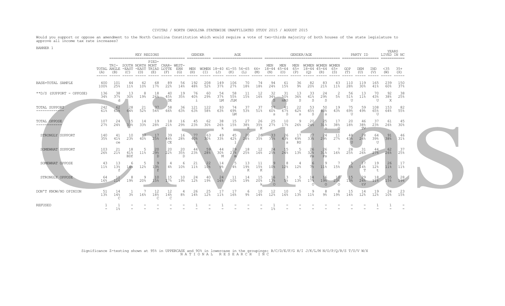## CIVITAS / NORTH CAROLINA STATEWIDE UNAFFILIATED STUDY 2015 / AUGUST 2015

Would you support or oppose an amendment to the North Carolina Constitution which would require a vote of two-thirds majority of both houses of the state legislature to approve all income tax rate increases?

BANNER 1

|                                            |                          | KEY REGIONS<br>================== |                                         |           |                              |                       |                 | <b>GENDER</b><br>AGE |                       |                       |                                |                |                       | GENDER/AGE                |                            |                     |                                       |                           |                        |                           | PARTY ID           |                              | YEARS<br>LTVED IN NC |              |  |
|--------------------------------------------|--------------------------|-----------------------------------|-----------------------------------------|-----------|------------------------------|-----------------------|-----------------|----------------------|-----------------------|-----------------------|--------------------------------|----------------|-----------------------|---------------------------|----------------------------|---------------------|---------------------------------------|---------------------------|------------------------|---------------------------|--------------------|------------------------------|----------------------|--------------|--|
|                                            | TOTAL ANGLE -EAST<br>(A) | (B)                               | TRI- SOUTH NORTH MONT CHAR-WEST-<br>(C) | (D)       | PIED-<br>-EAST TRIAD<br>(E)  | LOTTE<br>(F)          | ERN<br>(G)      | MEN<br>(H)           | $(\bot)$              | (J)                   | WOMEN 18-40 41-55 56-65<br>(K) | (L)            | 66+<br>(M)            | MEN<br>18-44 45-64<br>(N) | MEN<br>(O)                 | MEN<br>$65+$<br>(P) | WOMEN WOMEN WOMEN<br>$18 - 44$<br>(Q) | $45 - 64$<br>(R)          | $65+$<br>(S)           | GOP<br>(T)                | DEM<br>(U)         | IND<br>(V)                   | $35$<br>(W)          | $35+$<br>(X) |  |
| BASE=TOTAL SAMPLE                          | 400<br>100%              | 101<br>25%                        | 44<br>11%                               | 10%       | 68<br>17 <sup>°</sup>        | 89<br>22%             | 56<br>14%       | 192<br>48%           | $208$<br>$52%$        | 149<br>37%            | 106<br>27%                     | 70<br>18%      | 74<br>18%             | 94<br>24%                 | 61<br>15%                  | 36<br>9%            | 82<br>20%                             | 83<br>21%                 | 43<br>11%              | 110<br>28%                | 119<br>30%         | 165<br>41%                   | 239<br>60%           | 150<br>37%   |  |
| **D/S (SUPPORT - OPPOSE)                   | 136<br>34%               | 38<br>37%<br>d                    | 13<br>30 <sup>°</sup>                   | 19%       | 18<br>26%                    | 40<br>45%<br>DE       | 19<br>35%       | 76<br>40%            | 60<br>29%             | 54<br>37%<br>LM       | 58<br>55%<br><b>JLM</b>        | -11<br>15%     | 12<br>16%             | 32<br>34%<br>S            | -31<br>$-50%$<br>nRS       | 13<br>36%<br>S      | 33<br>41%<br>S                        | -24<br>29%<br>S           | 2<br>5 <sup>°</sup>    | 56<br>51%<br>U            | -13<br>11%         | 70<br>43%<br>$^{\text{II}}$  | 92<br>38%<br>X       | 38<br>25%    |  |
| TOTAL SUPPORT<br>-------------             | 242<br>61%               | 62<br>61%                         | -28<br>64%                              | 21<br>52% | 37<br>54%                    | 58<br>66%             | 36<br>63%       | 121<br>63%           | 122<br>58%            | 93<br>63%             | 74<br>69%<br>LM                | -37<br>53%     | 37<br>51%             | 57<br>60%<br>.S           | -41<br>67%<br><sub>S</sub> | 22<br>62%<br>S.     | 53<br>65%<br>S.                       | 50<br>60%<br>$\mathbf{s}$ | 19<br>43%              | 75<br>69%<br>U            | -59<br>49%         | 108<br>65%<br>$\overline{U}$ | 153<br>$64\%$        | -82<br>55%   |  |
| TOTAL OPPOSE<br>----- <del>------</del> -- | 107<br>27 <sup>°</sup>   | 24<br>24%                         | 15<br>33%                               | 14<br>33% | 19<br>28%                    | 18<br>21%             | 16<br>29%       | 45<br>23%            | 62<br>30 <sup>8</sup> | 38<br>26%<br>k        | 15<br>15%                      | 27<br>38%<br>K | 26<br>35%<br>K        | 25<br>27%                 | 10<br>17%                  | 9<br>26%            | 20<br>24%                             | 25<br>31%<br>$\circ$      | 17<br>38%<br>$\cap$    | 20<br>18%                 | 46<br>38%<br>TV    | 37<br>23%                    | 61<br>26%            | 45<br>30%    |  |
| STRONGLY SUPPORT                           | 140<br>35%               | 41<br>41%<br>ce                   | 10<br>23%                               | 17<br>40% | 17<br>25%                    | 39<br>44%<br>CE       | 16<br>28%       | 77<br>40%            | 63<br>30%             | -49<br>33%            | 45<br>42%                      | -20<br>28%     | 26<br>35%             | $33$<br>$35%$             | -26<br>43%<br>$\mathbf{s}$ | 17<br>49%<br>RS     | 27<br>33%                             | -24<br>29%                | 11<br>27%              | 48<br>43%                 | -28<br>24%         | 64<br>39%<br>U               | 91<br>38%            | -46<br>31%   |  |
| SOMEWHAT SUPPORT                           | 103<br>26%               | 21<br>21%                         | 18<br>41%<br><b>BDf</b>                 | 11%       | 20<br>29.8<br>$\overline{D}$ | 20<br>22%             | 20<br>35%<br>Ð  | 44<br>23%            | 59<br>28%             | 44<br>30%<br>М        | 29<br>27%                      | 18<br>25%      | 12<br>16%             | 24<br>25%                 | 24%                        | 13%                 | 32%<br>Ps                             | 26<br>31%                 | 16%                    | 28<br>25%                 | -31<br>26%         | 44<br>$-27$ <sup>8</sup>     | 62<br>26%            | -37<br>25%   |  |
| SOMEWHAT OPPOSE                            | 43<br>11%                | 13<br>13%<br>f                    | 14%                                     | 12%       | -9<br>13%<br>f               | $4\%$                 | 10 <sup>°</sup> | 21<br>$11\%$         | 22<br>10%             | 14<br>9%              | 4 <sup>°</sup>                 | 13<br>19%<br>K | -11<br>15%<br>K       | 10 <sup>°</sup>           | 12%                        | 12%                 | 7 <sup>°</sup>                        | 11%                       | 15%                    | 5 <sup>8</sup>            | 14%<br>T           | 19<br>12%                    | 26<br>11%            | 17<br>11%    |  |
| STRONGLY OPPOSE                            | -64<br>16%               | 11%                               | 19%                                     | 9<br>20%  | 10<br>15%                    | 15<br>17 <sup>°</sup> | 10<br>19%       | 24<br>12%            | 40<br>19%             | 24<br>16%             | 11<br>10 <sup>°</sup>          | -14<br>19%     | 15<br>20 <sup>°</sup> | 16<br>17%<br>$\Omega$     | 5 <sup>°</sup>             | 13%                 | 17 <sup>8</sup>                       | 16<br>19%<br>$\Omega$     | 10 <sub>1</sub><br>23% | $15$<br>$13$ <sup>8</sup> | -29<br>24%<br>$+V$ | 18<br>11 <sup>°</sup>        | 35<br>15%            | 28<br>19%    |  |
| DON'T KNOW/NO OPINION                      | -51<br>13%               | 14<br>14%                         | 3 <sup>°</sup>                          | 16%       | 12<br>18%                    | 12<br>14%             | 8 <sup>°</sup>  | 26<br>14%            | 25<br>12%             | 17<br>11 <sup>°</sup> | -17<br>16%                     | 6<br>୨%        | 10<br>14%             | 12<br>12%                 | 10<br>16%                  | 13%                 | 11%                                   | 8<br>9%                   | 8<br>19%               | -15<br>14%                | -14<br>12%         | 19<br>12%                    | -24<br>10%           | -23<br>15%   |  |
| REFUSED                                    |                          | $1\%$                             |                                         |           |                              |                       |                 |                      |                       |                       |                                |                |                       |                           |                            |                     |                                       |                           |                        |                           |                    |                              |                      |              |  |

Significance Z-testing shown at 95% in UPPERCASE and 90% in lowercase in the groupings: B/C/D/E/F/G H/I J/K/L/M N/O/P/Q/R/S T/U/V W/X N A T I O N A L R E S E A R C H I N C